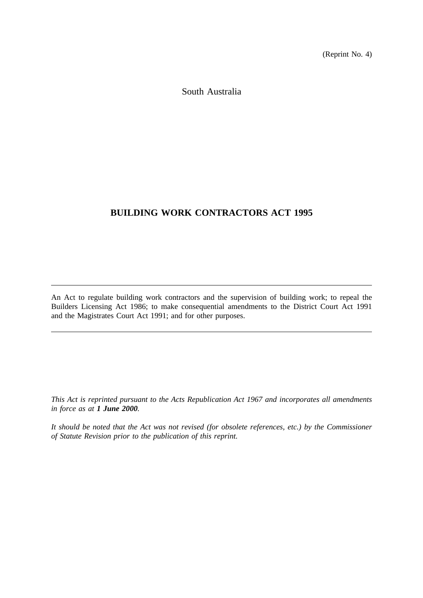(Reprint No. 4)

South Australia

# **BUILDING WORK CONTRACTORS ACT 1995**

An Act to regulate building work contractors and the supervision of building work; to repeal the Builders Licensing Act 1986; to make consequential amendments to the District Court Act 1991 and the Magistrates Court Act 1991; and for other purposes.

*This Act is reprinted pursuant to the Acts Republication Act 1967 and incorporates all amendments in force as at 1 June 2000.*

*It should be noted that the Act was not revised (for obsolete references, etc.) by the Commissioner of Statute Revision prior to the publication of this reprint.*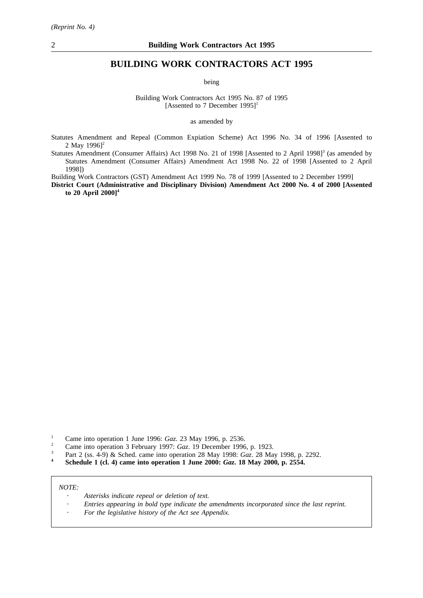# **BUILDING WORK CONTRACTORS ACT 1995**

being

Building Work Contractors Act 1995 No. 87 of 1995 [Assented to 7 December  $1995$ ]<sup>1</sup>

as amended by

- Statutes Amendment and Repeal (Common Expiation Scheme) Act 1996 No. 34 of 1996 [Assented to 2 May  $19961^2$
- Statutes Amendment (Consumer Affairs) Act 1998 No. 21 of 1998 [Assented to 2 April 1998]<sup>3</sup> (as amended by Statutes Amendment (Consumer Affairs) Amendment Act 1998 No. 22 of 1998 [Assented to 2 April 1998])

Building Work Contractors (GST) Amendment Act 1999 No. 78 of 1999 [Assented to 2 December 1999]

**District Court (Administrative and Disciplinary Division) Amendment Act 2000 No. 4 of 2000 [Assented to 20 April 2000]4**

- <sup>1</sup> Came into operation 1 June 1996: *Gaz.* 23 May 1996, p. 2536.<br><sup>2</sup> Came into operation 3 February 1997: *Gaz*, 19 December 1996
- <sup>2</sup> Came into operation 3 February 1997: *Gaz*. 19 December 1996, p. 1923.<br><sup>3</sup> Part 2 (ss. 4-9) & Sched, came into operation 28 May 1998: *Gaz*. 28 Ma
- <sup>3</sup> Part 2 (ss. 4-9) & Sched. came into operation 28 May 1998: *Gaz*. 28 May 1998, p. 2292.
- **<sup>4</sup> Schedule 1 (cl. 4) came into operation 1 June 2000:** *Gaz***. 18 May 2000, p. 2554.**

*NOTE:*

- *Asterisks indicate repeal or deletion of text.*
- *Entries appearing in bold type indicate the amendments incorporated since the last reprint.*
- *For the legislative history of the Act see Appendix.*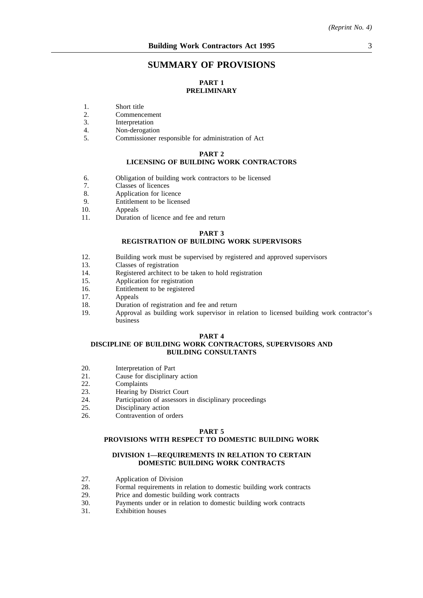# **SUMMARY OF PROVISIONS**

# **PART 1 PRELIMINARY**

- 1. Short title<br>2. Commenc
- 2. Commencement<br>3. Interpretation
- 3. Interpretation<br>4 Non-derogation
- 4. Non-derogation<br>5. Commissioner r
- 5. Commissioner responsible for administration of Act

#### **PART 2**

# **LICENSING OF BUILDING WORK CONTRACTORS**

- 6. Obligation of building work contractors to be licensed
- 7. Classes of licences<br>8. Application for lice
- 8. Application for licence<br>9. Entitlement to be licens
- Entitlement to be licensed
- 10. Appeals
- 11. Duration of licence and fee and return

#### **PART 3**

## **REGISTRATION OF BUILDING WORK SUPERVISORS**

- 12. Building work must be supervised by registered and approved supervisors
- 13. Classes of registration
- 14. Registered architect to be taken to hold registration
- 15. Application for registration
- 16. Entitlement to be registered
- 17. Appeals
- 18. Duration of registration and fee and return
- 19. Approval as building work supervisor in relation to licensed building work contractor's business

#### **PART 4**

#### **DISCIPLINE OF BUILDING WORK CONTRACTORS, SUPERVISORS AND BUILDING CONSULTANTS**

- 20. Interpretation of Part
- 21. Cause for disciplinary action<br>22. Complaints
- 22. Complaints<br>23. Hearing by
- 23. Hearing by District Court<br>24. Participation of assessors
- 24. Participation of assessors in disciplinary proceedings<br>25. Disciplinary action
- Disciplinary action
- 26. Contravention of orders

#### **PART 5**

## **PROVISIONS WITH RESPECT TO DOMESTIC BUILDING WORK**

## **DIVISION 1—REQUIREMENTS IN RELATION TO CERTAIN DOMESTIC BUILDING WORK CONTRACTS**

- 27. Application of Division
- 28. Formal requirements in relation to domestic building work contracts
- 29. Price and domestic building work contracts
- 30. Payments under or in relation to domestic building work contracts
- 31. Exhibition houses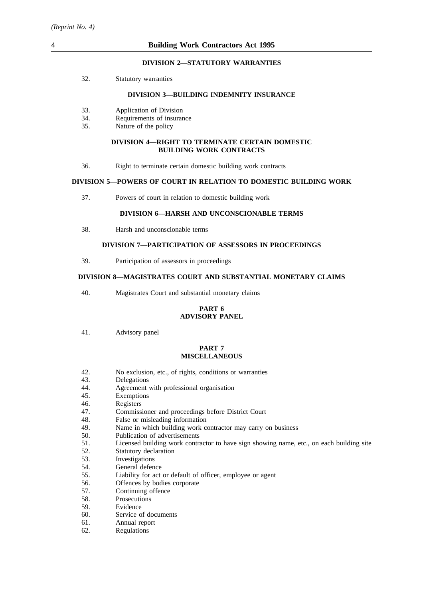## **DIVISION 2—STATUTORY WARRANTIES**

32. Statutory warranties

## **DIVISION 3—BUILDING INDEMNITY INSURANCE**

- 33. Application of Division
- 34. Requirements of insurance
- 35. Nature of the policy

## **DIVISION 4—RIGHT TO TERMINATE CERTAIN DOMESTIC BUILDING WORK CONTRACTS**

36. Right to terminate certain domestic building work contracts

## **DIVISION 5—POWERS OF COURT IN RELATION TO DOMESTIC BUILDING WORK**

37. Powers of court in relation to domestic building work

## **DIVISION 6—HARSH AND UNCONSCIONABLE TERMS**

38. Harsh and unconscionable terms

## **DIVISION 7—PARTICIPATION OF ASSESSORS IN PROCEEDINGS**

39. Participation of assessors in proceedings

## **DIVISION 8—MAGISTRATES COURT AND SUBSTANTIAL MONETARY CLAIMS**

40. Magistrates Court and substantial monetary claims

## **PART 6 ADVISORY PANEL**

41. Advisory panel

## **PART 7 MISCELLANEOUS**

- 42. No exclusion, etc., of rights, conditions or warranties
- 43. Delegations
- 44. Agreement with professional organisation
- 45. Exemptions
- 46. Registers<br>47. Commiss
- 47. Commissioner and proceedings before District Court 48. False or misleading information
- 48. False or misleading information<br>49. Name in which building work com-
- 49. Name in which building work contractor may carry on business 50. Publication of advertisements
- Publication of advertisements
- 51. Licensed building work contractor to have sign showing name, etc., on each building site
- 52. Statutory declaration
- 53. Investigations
- 54. General defence
- 55. Liability for act or default of officer, employee or agent
- 56. Offences by bodies corporate
- 57. Continuing offence
- 58. Prosecutions
- 59. Evidence
- 60. Service of documents
- 61. Annual report
- 62. Regulations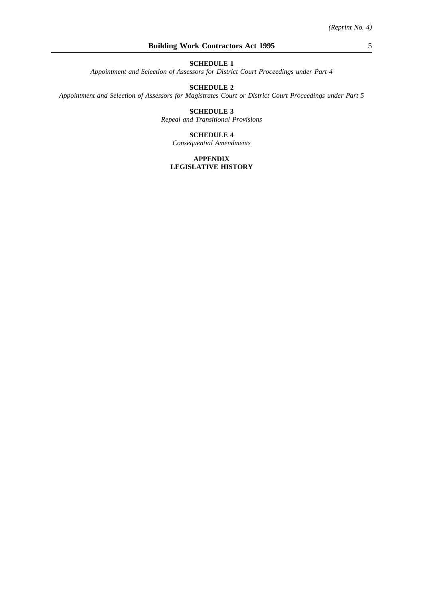*Appointment and Selection of Assessors for District Court Proceedings under Part 4*

## **SCHEDULE 2**

*Appointment and Selection of Assessors for Magistrates Court or District Court Proceedings under Part 5*

## **SCHEDULE 3** *Repeal and Transitional Provisions*

## **SCHEDULE 4**

*Consequential Amendments*

## **APPENDIX LEGISLATIVE HISTORY**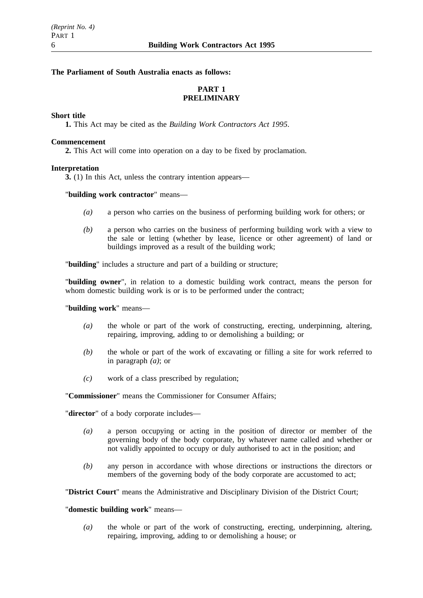# **The Parliament of South Australia enacts as follows:**

# **PART 1 PRELIMINARY**

## **Short title**

**1.** This Act may be cited as the *Building Work Contractors Act 1995*.

## **Commencement**

**2.** This Act will come into operation on a day to be fixed by proclamation.

# **Interpretation**

**3.** (1) In this Act, unless the contrary intention appears—

# "**building work contractor**" means—

- *(a)* a person who carries on the business of performing building work for others; or
- *(b)* a person who carries on the business of performing building work with a view to the sale or letting (whether by lease, licence or other agreement) of land or buildings improved as a result of the building work;

"**building**" includes a structure and part of a building or structure;

"**building owner**", in relation to a domestic building work contract, means the person for whom domestic building work is or is to be performed under the contract;

"**building work**" means—

- *(a)* the whole or part of the work of constructing, erecting, underpinning, altering, repairing, improving, adding to or demolishing a building; or
- *(b)* the whole or part of the work of excavating or filling a site for work referred to in paragraph *(a)*; or
- *(c)* work of a class prescribed by regulation;

"**Commissioner**" means the Commissioner for Consumer Affairs;

"**director**" of a body corporate includes—

- *(a)* a person occupying or acting in the position of director or member of the governing body of the body corporate, by whatever name called and whether or not validly appointed to occupy or duly authorised to act in the position; and
- *(b)* any person in accordance with whose directions or instructions the directors or members of the governing body of the body corporate are accustomed to act;

"**District Court**" means the Administrative and Disciplinary Division of the District Court;

# "**domestic building work**" means—

*(a)* the whole or part of the work of constructing, erecting, underpinning, altering, repairing, improving, adding to or demolishing a house; or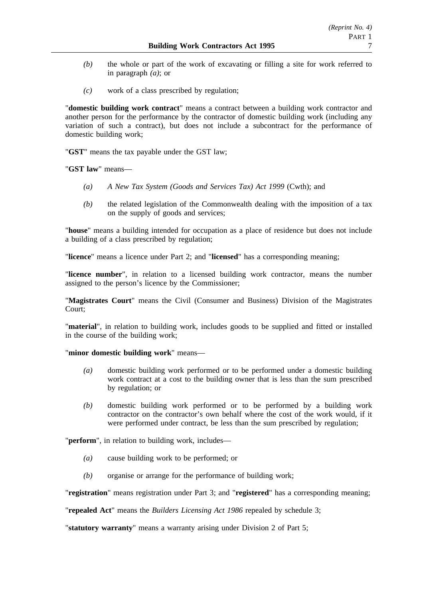- *(b)* the whole or part of the work of excavating or filling a site for work referred to in paragraph *(a)*; or
- *(c)* work of a class prescribed by regulation;

"**domestic building work contract**" means a contract between a building work contractor and another person for the performance by the contractor of domestic building work (including any variation of such a contract), but does not include a subcontract for the performance of domestic building work;

"**GST**" means the tax payable under the GST law;

"**GST law**" means—

- *(a) A New Tax System (Goods and Services Tax) Act 1999* (Cwth); and
- *(b)* the related legislation of the Commonwealth dealing with the imposition of a tax on the supply of goods and services;

"**house**" means a building intended for occupation as a place of residence but does not include a building of a class prescribed by regulation;

"**licence**" means a licence under Part 2; and "**licensed**" has a corresponding meaning;

"**licence number**", in relation to a licensed building work contractor, means the number assigned to the person's licence by the Commissioner;

"**Magistrates Court**" means the Civil (Consumer and Business) Division of the Magistrates Court;

"**material**", in relation to building work, includes goods to be supplied and fitted or installed in the course of the building work;

"**minor domestic building work**" means—

- *(a)* domestic building work performed or to be performed under a domestic building work contract at a cost to the building owner that is less than the sum prescribed by regulation; or
- *(b)* domestic building work performed or to be performed by a building work contractor on the contractor's own behalf where the cost of the work would, if it were performed under contract, be less than the sum prescribed by regulation;

"**perform**", in relation to building work, includes—

- *(a)* cause building work to be performed; or
- *(b)* organise or arrange for the performance of building work;

"**registration**" means registration under Part 3; and "**registered**" has a corresponding meaning;

"**repealed Act**" means the *Builders Licensing Act 1986* repealed by schedule 3;

"**statutory warranty**" means a warranty arising under Division 2 of Part 5;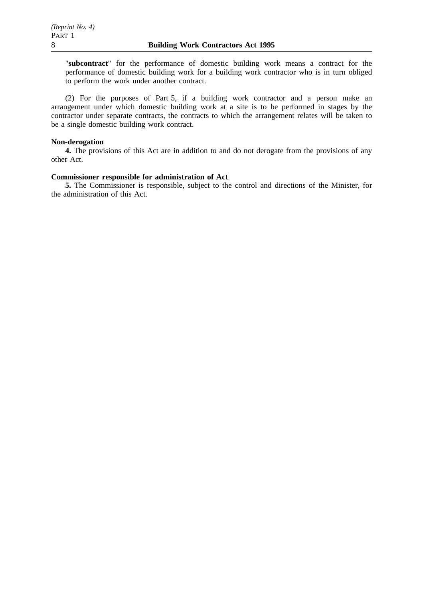"**subcontract**" for the performance of domestic building work means a contract for the performance of domestic building work for a building work contractor who is in turn obliged to perform the work under another contract.

(2) For the purposes of Part 5, if a building work contractor and a person make an arrangement under which domestic building work at a site is to be performed in stages by the contractor under separate contracts, the contracts to which the arrangement relates will be taken to be a single domestic building work contract.

## **Non-derogation**

**4.** The provisions of this Act are in addition to and do not derogate from the provisions of any other Act.

## **Commissioner responsible for administration of Act**

**5.** The Commissioner is responsible, subject to the control and directions of the Minister, for the administration of this Act.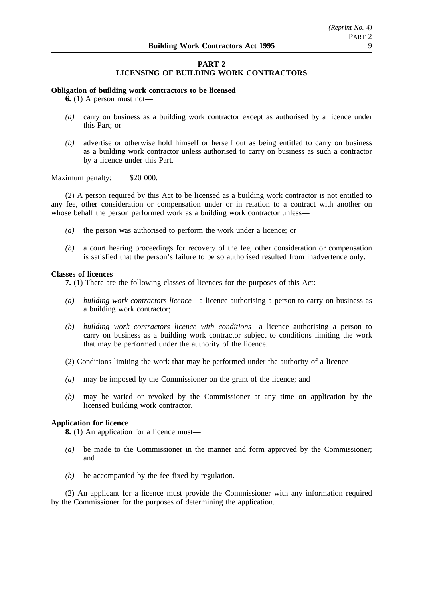# **PART 2 LICENSING OF BUILDING WORK CONTRACTORS**

## **Obligation of building work contractors to be licensed**

**6.** (1) A person must not—

- *(a)* carry on business as a building work contractor except as authorised by a licence under this Part; or
- *(b)* advertise or otherwise hold himself or herself out as being entitled to carry on business as a building work contractor unless authorised to carry on business as such a contractor by a licence under this Part.

## Maximum penalty: \$20 000.

(2) A person required by this Act to be licensed as a building work contractor is not entitled to any fee, other consideration or compensation under or in relation to a contract with another on whose behalf the person performed work as a building work contractor unless—

- *(a)* the person was authorised to perform the work under a licence; or
- *(b)* a court hearing proceedings for recovery of the fee, other consideration or compensation is satisfied that the person's failure to be so authorised resulted from inadvertence only.

## **Classes of licences**

**7.** (1) There are the following classes of licences for the purposes of this Act:

- *(a) building work contractors licence*—a licence authorising a person to carry on business as a building work contractor;
- *(b) building work contractors licence with conditions*—a licence authorising a person to carry on business as a building work contractor subject to conditions limiting the work that may be performed under the authority of the licence.
- (2) Conditions limiting the work that may be performed under the authority of a licence—
- *(a)* may be imposed by the Commissioner on the grant of the licence; and
- *(b)* may be varied or revoked by the Commissioner at any time on application by the licensed building work contractor.

## **Application for licence**

**8.** (1) An application for a licence must—

- *(a)* be made to the Commissioner in the manner and form approved by the Commissioner; and
- *(b)* be accompanied by the fee fixed by regulation.

(2) An applicant for a licence must provide the Commissioner with any information required by the Commissioner for the purposes of determining the application.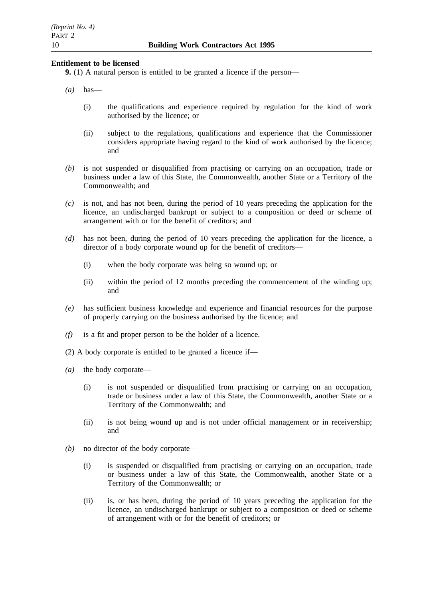## **Entitlement to be licensed**

**9.** (1) A natural person is entitled to be granted a licence if the person—

- *(a)* has—
	- (i) the qualifications and experience required by regulation for the kind of work authorised by the licence; or
	- (ii) subject to the regulations, qualifications and experience that the Commissioner considers appropriate having regard to the kind of work authorised by the licence; and
- *(b)* is not suspended or disqualified from practising or carrying on an occupation, trade or business under a law of this State, the Commonwealth, another State or a Territory of the Commonwealth; and
- *(c)* is not, and has not been, during the period of 10 years preceding the application for the licence, an undischarged bankrupt or subject to a composition or deed or scheme of arrangement with or for the benefit of creditors; and
- *(d)* has not been, during the period of 10 years preceding the application for the licence, a director of a body corporate wound up for the benefit of creditors—
	- (i) when the body corporate was being so wound up; or
	- (ii) within the period of 12 months preceding the commencement of the winding up; and
- *(e)* has sufficient business knowledge and experience and financial resources for the purpose of properly carrying on the business authorised by the licence; and
- *(f)* is a fit and proper person to be the holder of a licence.
- (2) A body corporate is entitled to be granted a licence if—
- *(a)* the body corporate—
	- (i) is not suspended or disqualified from practising or carrying on an occupation, trade or business under a law of this State, the Commonwealth, another State or a Territory of the Commonwealth; and
	- (ii) is not being wound up and is not under official management or in receivership; and
- *(b)* no director of the body corporate—
	- (i) is suspended or disqualified from practising or carrying on an occupation, trade or business under a law of this State, the Commonwealth, another State or a Territory of the Commonwealth; or
	- (ii) is, or has been, during the period of 10 years preceding the application for the licence, an undischarged bankrupt or subject to a composition or deed or scheme of arrangement with or for the benefit of creditors; or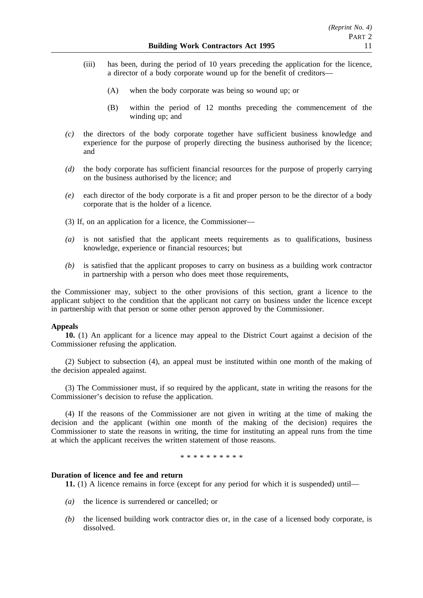- (iii) has been, during the period of 10 years preceding the application for the licence, a director of a body corporate wound up for the benefit of creditors—
	- (A) when the body corporate was being so wound up; or
	- (B) within the period of 12 months preceding the commencement of the winding up; and
- *(c)* the directors of the body corporate together have sufficient business knowledge and experience for the purpose of properly directing the business authorised by the licence; and
- *(d)* the body corporate has sufficient financial resources for the purpose of properly carrying on the business authorised by the licence; and
- *(e)* each director of the body corporate is a fit and proper person to be the director of a body corporate that is the holder of a licence.
- (3) If, on an application for a licence, the Commissioner—
- *(a)* is not satisfied that the applicant meets requirements as to qualifications, business knowledge, experience or financial resources; but
- *(b)* is satisfied that the applicant proposes to carry on business as a building work contractor in partnership with a person who does meet those requirements,

the Commissioner may, subject to the other provisions of this section, grant a licence to the applicant subject to the condition that the applicant not carry on business under the licence except in partnership with that person or some other person approved by the Commissioner.

## **Appeals**

**10.** (1) An applicant for a licence may appeal to the District Court against a decision of the Commissioner refusing the application.

(2) Subject to subsection (4), an appeal must be instituted within one month of the making of the decision appealed against.

(3) The Commissioner must, if so required by the applicant, state in writing the reasons for the Commissioner's decision to refuse the application.

(4) If the reasons of the Commissioner are not given in writing at the time of making the decision and the applicant (within one month of the making of the decision) requires the Commissioner to state the reasons in writing, the time for instituting an appeal runs from the time at which the applicant receives the written statement of those reasons.

\*\*\*\*\*\*\*\*\*\*

# **Duration of licence and fee and return**

**11.** (1) A licence remains in force (except for any period for which it is suspended) until—

- *(a)* the licence is surrendered or cancelled; or
- *(b)* the licensed building work contractor dies or, in the case of a licensed body corporate, is dissolved.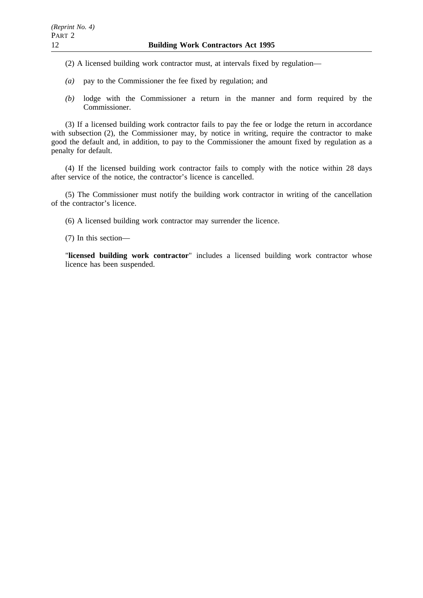(2) A licensed building work contractor must, at intervals fixed by regulation—

- *(a)* pay to the Commissioner the fee fixed by regulation; and
- *(b)* lodge with the Commissioner a return in the manner and form required by the Commissioner.

(3) If a licensed building work contractor fails to pay the fee or lodge the return in accordance with subsection (2), the Commissioner may, by notice in writing, require the contractor to make good the default and, in addition, to pay to the Commissioner the amount fixed by regulation as a penalty for default.

(4) If the licensed building work contractor fails to comply with the notice within 28 days after service of the notice, the contractor's licence is cancelled.

(5) The Commissioner must notify the building work contractor in writing of the cancellation of the contractor's licence.

(6) A licensed building work contractor may surrender the licence.

(7) In this section—

"**licensed building work contractor**" includes a licensed building work contractor whose licence has been suspended.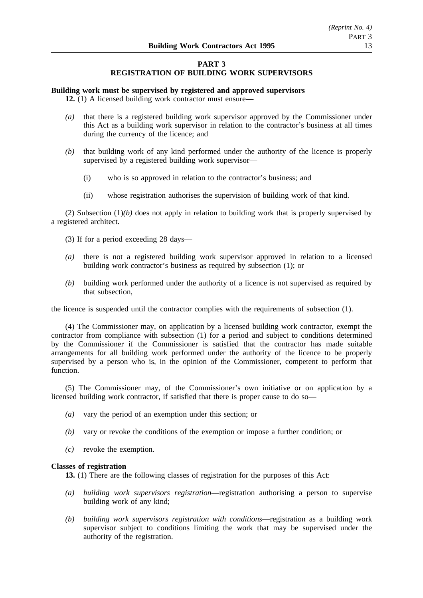# **PART 3 REGISTRATION OF BUILDING WORK SUPERVISORS**

# **Building work must be supervised by registered and approved supervisors**

**12.** (1) A licensed building work contractor must ensure—

- *(a)* that there is a registered building work supervisor approved by the Commissioner under this Act as a building work supervisor in relation to the contractor's business at all times during the currency of the licence; and
- *(b)* that building work of any kind performed under the authority of the licence is properly supervised by a registered building work supervisor—
	- (i) who is so approved in relation to the contractor's business; and
	- (ii) whose registration authorises the supervision of building work of that kind.

(2) Subsection  $(1)(b)$  does not apply in relation to building work that is properly supervised by a registered architect.

- (3) If for a period exceeding 28 days—
- *(a)* there is not a registered building work supervisor approved in relation to a licensed building work contractor's business as required by subsection (1); or
- *(b)* building work performed under the authority of a licence is not supervised as required by that subsection,

the licence is suspended until the contractor complies with the requirements of subsection (1).

(4) The Commissioner may, on application by a licensed building work contractor, exempt the contractor from compliance with subsection (1) for a period and subject to conditions determined by the Commissioner if the Commissioner is satisfied that the contractor has made suitable arrangements for all building work performed under the authority of the licence to be properly supervised by a person who is, in the opinion of the Commissioner, competent to perform that function.

(5) The Commissioner may, of the Commissioner's own initiative or on application by a licensed building work contractor, if satisfied that there is proper cause to do so—

- *(a)* vary the period of an exemption under this section; or
- *(b)* vary or revoke the conditions of the exemption or impose a further condition; or
- *(c)* revoke the exemption.

## **Classes of registration**

**13.** (1) There are the following classes of registration for the purposes of this Act:

- *(a) building work supervisors registration*—registration authorising a person to supervise building work of any kind;
- *(b) building work supervisors registration with conditions*—registration as a building work supervisor subject to conditions limiting the work that may be supervised under the authority of the registration.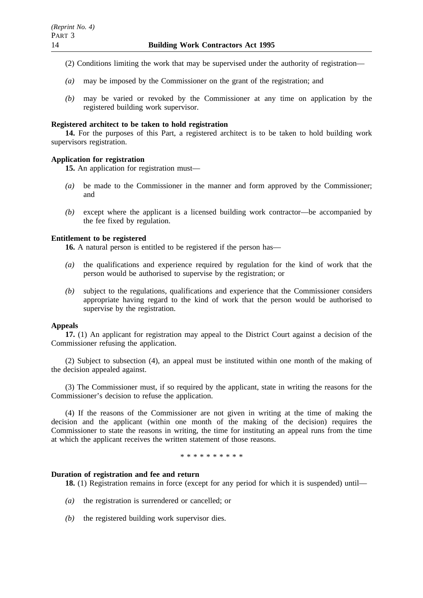- (2) Conditions limiting the work that may be supervised under the authority of registration—
- *(a)* may be imposed by the Commissioner on the grant of the registration; and
- *(b)* may be varied or revoked by the Commissioner at any time on application by the registered building work supervisor.

## **Registered architect to be taken to hold registration**

**14.** For the purposes of this Part, a registered architect is to be taken to hold building work supervisors registration.

# **Application for registration**

**15.** An application for registration must—

- *(a)* be made to the Commissioner in the manner and form approved by the Commissioner; and
- *(b)* except where the applicant is a licensed building work contractor—be accompanied by the fee fixed by regulation.

# **Entitlement to be registered**

**16.** A natural person is entitled to be registered if the person has—

- *(a)* the qualifications and experience required by regulation for the kind of work that the person would be authorised to supervise by the registration; or
- *(b)* subject to the regulations, qualifications and experience that the Commissioner considers appropriate having regard to the kind of work that the person would be authorised to supervise by the registration.

## **Appeals**

**17.** (1) An applicant for registration may appeal to the District Court against a decision of the Commissioner refusing the application.

(2) Subject to subsection (4), an appeal must be instituted within one month of the making of the decision appealed against.

(3) The Commissioner must, if so required by the applicant, state in writing the reasons for the Commissioner's decision to refuse the application.

(4) If the reasons of the Commissioner are not given in writing at the time of making the decision and the applicant (within one month of the making of the decision) requires the Commissioner to state the reasons in writing, the time for instituting an appeal runs from the time at which the applicant receives the written statement of those reasons.

\*\*\*\*\*\*\*\*\*\*

## **Duration of registration and fee and return**

**18.** (1) Registration remains in force (except for any period for which it is suspended) until—

- *(a)* the registration is surrendered or cancelled; or
- *(b)* the registered building work supervisor dies.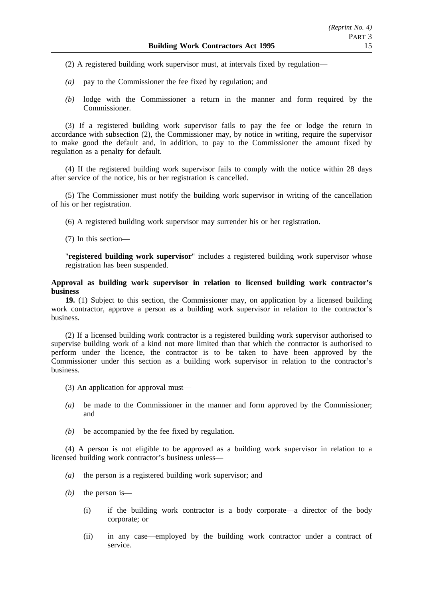(2) A registered building work supervisor must, at intervals fixed by regulation—

- *(a)* pay to the Commissioner the fee fixed by regulation; and
- *(b)* lodge with the Commissioner a return in the manner and form required by the Commissioner.

(3) If a registered building work supervisor fails to pay the fee or lodge the return in accordance with subsection (2), the Commissioner may, by notice in writing, require the supervisor to make good the default and, in addition, to pay to the Commissioner the amount fixed by regulation as a penalty for default.

(4) If the registered building work supervisor fails to comply with the notice within 28 days after service of the notice, his or her registration is cancelled.

(5) The Commissioner must notify the building work supervisor in writing of the cancellation of his or her registration.

(6) A registered building work supervisor may surrender his or her registration.

(7) In this section—

"**registered building work supervisor**" includes a registered building work supervisor whose registration has been suspended.

## **Approval as building work supervisor in relation to licensed building work contractor's business**

**19.** (1) Subject to this section, the Commissioner may, on application by a licensed building work contractor, approve a person as a building work supervisor in relation to the contractor's business.

(2) If a licensed building work contractor is a registered building work supervisor authorised to supervise building work of a kind not more limited than that which the contractor is authorised to perform under the licence, the contractor is to be taken to have been approved by the Commissioner under this section as a building work supervisor in relation to the contractor's business.

- (3) An application for approval must—
- *(a)* be made to the Commissioner in the manner and form approved by the Commissioner; and
- *(b)* be accompanied by the fee fixed by regulation.

(4) A person is not eligible to be approved as a building work supervisor in relation to a licensed building work contractor's business unless—

- *(a)* the person is a registered building work supervisor; and
- *(b)* the person is—
	- (i) if the building work contractor is a body corporate—a director of the body corporate; or
	- (ii) in any case—employed by the building work contractor under a contract of service.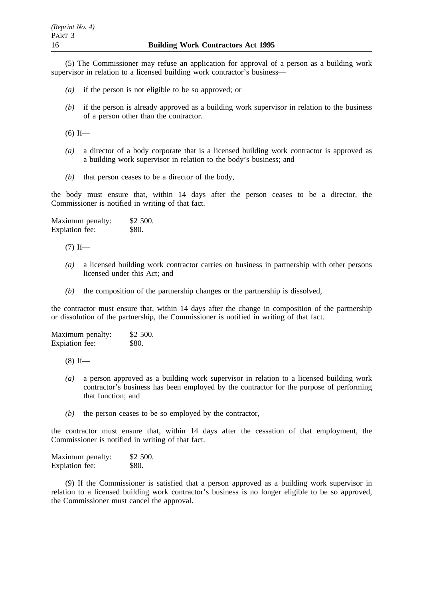(5) The Commissioner may refuse an application for approval of a person as a building work supervisor in relation to a licensed building work contractor's business—

- *(a)* if the person is not eligible to be so approved; or
- *(b)* if the person is already approved as a building work supervisor in relation to the business of a person other than the contractor.

 $(6)$  If—

- *(a)* a director of a body corporate that is a licensed building work contractor is approved as a building work supervisor in relation to the body's business; and
- *(b)* that person ceases to be a director of the body,

the body must ensure that, within 14 days after the person ceases to be a director, the Commissioner is notified in writing of that fact.

Maximum penalty: \$2 500. Expiation fee: \$80.

 $(7)$  If—

- *(a)* a licensed building work contractor carries on business in partnership with other persons licensed under this Act; and
- *(b)* the composition of the partnership changes or the partnership is dissolved,

the contractor must ensure that, within 14 days after the change in composition of the partnership or dissolution of the partnership, the Commissioner is notified in writing of that fact.

| Maximum penalty:      | \$2 500. |
|-----------------------|----------|
| <b>Expiation</b> fee: | \$80.    |

 $(8)$  If—

- *(a)* a person approved as a building work supervisor in relation to a licensed building work contractor's business has been employed by the contractor for the purpose of performing that function; and
- *(b)* the person ceases to be so employed by the contractor,

the contractor must ensure that, within 14 days after the cessation of that employment, the Commissioner is notified in writing of that fact.

Maximum penalty: \$2 500. Expiation fee: \$80.

(9) If the Commissioner is satisfied that a person approved as a building work supervisor in relation to a licensed building work contractor's business is no longer eligible to be so approved, the Commissioner must cancel the approval.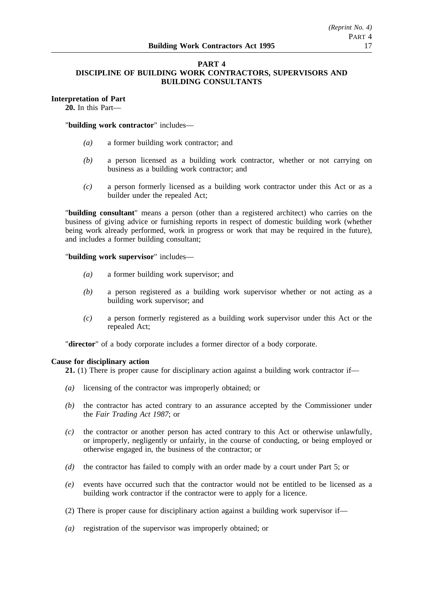## **PART 4 DISCIPLINE OF BUILDING WORK CONTRACTORS, SUPERVISORS AND BUILDING CONSULTANTS**

# **Interpretation of Part**

**20.** In this Part—

"**building work contractor**" includes—

- *(a)* a former building work contractor; and
- *(b)* a person licensed as a building work contractor, whether or not carrying on business as a building work contractor; and
- *(c)* a person formerly licensed as a building work contractor under this Act or as a builder under the repealed Act;

"**building consultant**" means a person (other than a registered architect) who carries on the business of giving advice or furnishing reports in respect of domestic building work (whether being work already performed, work in progress or work that may be required in the future), and includes a former building consultant;

"**building work supervisor**" includes—

- *(a)* a former building work supervisor; and
- *(b)* a person registered as a building work supervisor whether or not acting as a building work supervisor; and
- *(c)* a person formerly registered as a building work supervisor under this Act or the repealed Act;

"**director**" of a body corporate includes a former director of a body corporate.

## **Cause for disciplinary action**

**21.** (1) There is proper cause for disciplinary action against a building work contractor if—

- *(a)* licensing of the contractor was improperly obtained; or
- *(b)* the contractor has acted contrary to an assurance accepted by the Commissioner under the *Fair Trading Act 1987*; or
- *(c)* the contractor or another person has acted contrary to this Act or otherwise unlawfully, or improperly, negligently or unfairly, in the course of conducting, or being employed or otherwise engaged in, the business of the contractor; or
- *(d)* the contractor has failed to comply with an order made by a court under Part 5; or
- *(e)* events have occurred such that the contractor would not be entitled to be licensed as a building work contractor if the contractor were to apply for a licence.
- (2) There is proper cause for disciplinary action against a building work supervisor if—
- *(a)* registration of the supervisor was improperly obtained; or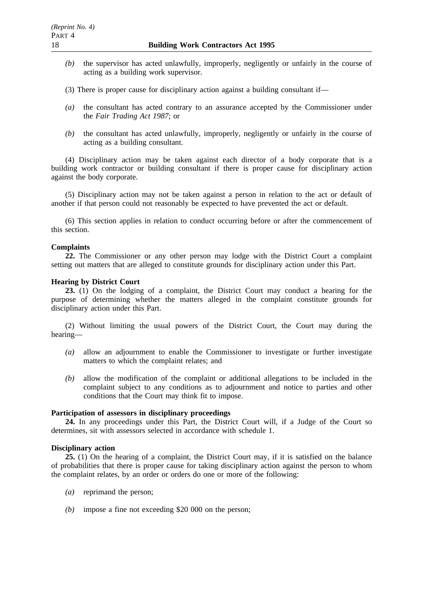- *(b)* the supervisor has acted unlawfully, improperly, negligently or unfairly in the course of acting as a building work supervisor.
- (3) There is proper cause for disciplinary action against a building consultant if—
- *(a)* the consultant has acted contrary to an assurance accepted by the Commissioner under the *Fair Trading Act 1987*; or
- *(b)* the consultant has acted unlawfully, improperly, negligently or unfairly in the course of acting as a building consultant.

(4) Disciplinary action may be taken against each director of a body corporate that is a building work contractor or building consultant if there is proper cause for disciplinary action against the body corporate.

(5) Disciplinary action may not be taken against a person in relation to the act or default of another if that person could not reasonably be expected to have prevented the act or default.

(6) This section applies in relation to conduct occurring before or after the commencement of this section.

## **Complaints**

**22.** The Commissioner or any other person may lodge with the District Court a complaint setting out matters that are alleged to constitute grounds for disciplinary action under this Part.

## **Hearing by District Court**

**23.** (1) On the lodging of a complaint, the District Court may conduct a hearing for the purpose of determining whether the matters alleged in the complaint constitute grounds for disciplinary action under this Part.

(2) Without limiting the usual powers of the District Court, the Court may during the hearing—

- *(a)* allow an adjournment to enable the Commissioner to investigate or further investigate matters to which the complaint relates; and
- *(b)* allow the modification of the complaint or additional allegations to be included in the complaint subject to any conditions as to adjournment and notice to parties and other conditions that the Court may think fit to impose.

## **Participation of assessors in disciplinary proceedings**

**24.** In any proceedings under this Part, the District Court will, if a Judge of the Court so determines, sit with assessors selected in accordance with schedule 1.

#### **Disciplinary action**

**25.** (1) On the hearing of a complaint, the District Court may, if it is satisfied on the balance of probabilities that there is proper cause for taking disciplinary action against the person to whom the complaint relates, by an order or orders do one or more of the following:

- *(a)* reprimand the person;
- *(b)* impose a fine not exceeding \$20 000 on the person;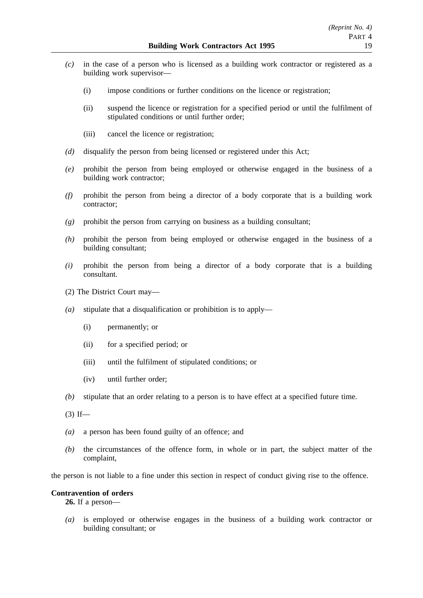- *(c)* in the case of a person who is licensed as a building work contractor or registered as a building work supervisor—
	- (i) impose conditions or further conditions on the licence or registration;
	- (ii) suspend the licence or registration for a specified period or until the fulfilment of stipulated conditions or until further order;
	- (iii) cancel the licence or registration;
- *(d)* disqualify the person from being licensed or registered under this Act;
- *(e)* prohibit the person from being employed or otherwise engaged in the business of a building work contractor;
- *(f)* prohibit the person from being a director of a body corporate that is a building work contractor;
- *(g)* prohibit the person from carrying on business as a building consultant;
- *(h)* prohibit the person from being employed or otherwise engaged in the business of a building consultant;
- *(i)* prohibit the person from being a director of a body corporate that is a building consultant.
- (2) The District Court may—
- *(a)* stipulate that a disqualification or prohibition is to apply—
	- (i) permanently; or
	- (ii) for a specified period; or
	- (iii) until the fulfilment of stipulated conditions; or
	- (iv) until further order;
- *(b)* stipulate that an order relating to a person is to have effect at a specified future time.
- $(3)$  If—
- *(a)* a person has been found guilty of an offence; and
- *(b)* the circumstances of the offence form, in whole or in part, the subject matter of the complaint,

the person is not liable to a fine under this section in respect of conduct giving rise to the offence.

# **Contravention of orders**

**26.** If a person—

*(a)* is employed or otherwise engages in the business of a building work contractor or building consultant; or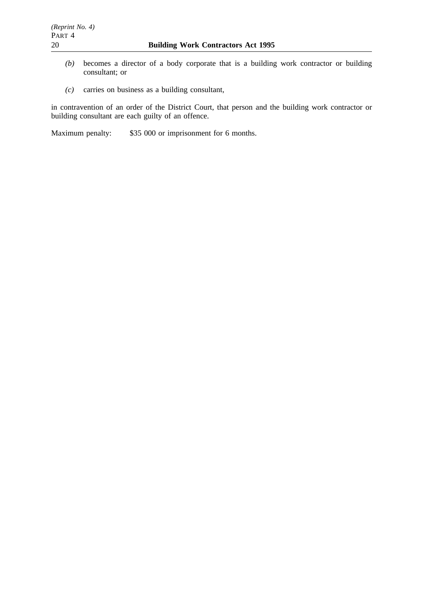- *(b)* becomes a director of a body corporate that is a building work contractor or building consultant; or
- *(c)* carries on business as a building consultant,

in contravention of an order of the District Court, that person and the building work contractor or building consultant are each guilty of an offence.

Maximum penalty: \$35 000 or imprisonment for 6 months.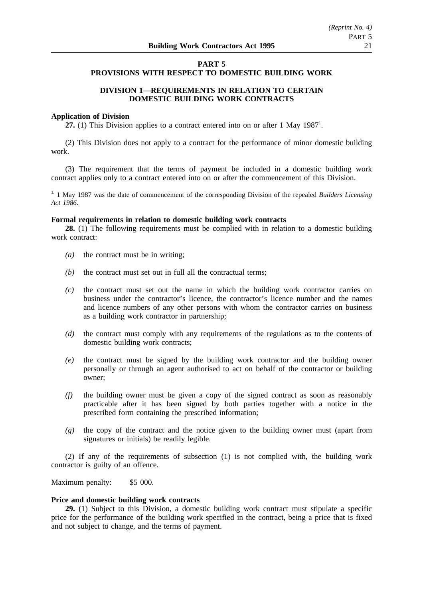# **PART 5 PROVISIONS WITH RESPECT TO DOMESTIC BUILDING WORK**

# **DIVISION 1—REQUIREMENTS IN RELATION TO CERTAIN DOMESTIC BUILDING WORK CONTRACTS**

## **Application of Division**

27. (1) This Division applies to a contract entered into on or after 1 May 1987<sup>1</sup>.

(2) This Division does not apply to a contract for the performance of minor domestic building work.

(3) The requirement that the terms of payment be included in a domestic building work contract applies only to a contract entered into on or after the commencement of this Division.

<sup>1.</sup> 1 May 1987 was the date of commencement of the corresponding Division of the repealed *Builders Licensing Act 1986*.

## **Formal requirements in relation to domestic building work contracts**

**28.** (1) The following requirements must be complied with in relation to a domestic building work contract:

- *(a)* the contract must be in writing;
- *(b)* the contract must set out in full all the contractual terms;
- *(c)* the contract must set out the name in which the building work contractor carries on business under the contractor's licence, the contractor's licence number and the names and licence numbers of any other persons with whom the contractor carries on business as a building work contractor in partnership;
- *(d)* the contract must comply with any requirements of the regulations as to the contents of domestic building work contracts;
- *(e)* the contract must be signed by the building work contractor and the building owner personally or through an agent authorised to act on behalf of the contractor or building owner;
- *(f)* the building owner must be given a copy of the signed contract as soon as reasonably practicable after it has been signed by both parties together with a notice in the prescribed form containing the prescribed information;
- *(g)* the copy of the contract and the notice given to the building owner must (apart from signatures or initials) be readily legible.

(2) If any of the requirements of subsection (1) is not complied with, the building work contractor is guilty of an offence.

Maximum penalty: \$5 000.

#### **Price and domestic building work contracts**

**29.** (1) Subject to this Division, a domestic building work contract must stipulate a specific price for the performance of the building work specified in the contract, being a price that is fixed and not subject to change, and the terms of payment.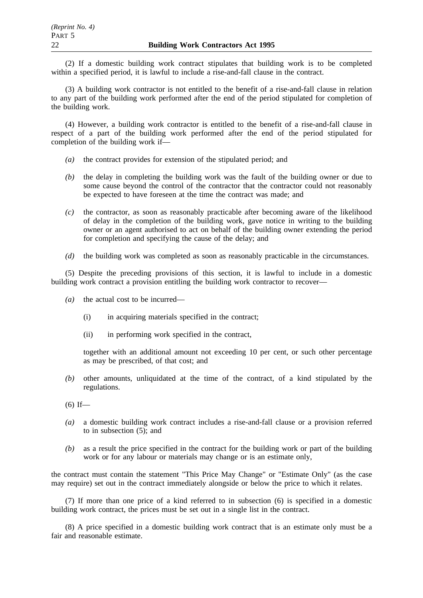(2) If a domestic building work contract stipulates that building work is to be completed within a specified period, it is lawful to include a rise-and-fall clause in the contract.

(3) A building work contractor is not entitled to the benefit of a rise-and-fall clause in relation to any part of the building work performed after the end of the period stipulated for completion of the building work.

(4) However, a building work contractor is entitled to the benefit of a rise-and-fall clause in respect of a part of the building work performed after the end of the period stipulated for completion of the building work if—

- *(a)* the contract provides for extension of the stipulated period; and
- *(b)* the delay in completing the building work was the fault of the building owner or due to some cause beyond the control of the contractor that the contractor could not reasonably be expected to have foreseen at the time the contract was made; and
- *(c)* the contractor, as soon as reasonably practicable after becoming aware of the likelihood of delay in the completion of the building work, gave notice in writing to the building owner or an agent authorised to act on behalf of the building owner extending the period for completion and specifying the cause of the delay; and
- *(d)* the building work was completed as soon as reasonably practicable in the circumstances.

(5) Despite the preceding provisions of this section, it is lawful to include in a domestic building work contract a provision entitling the building work contractor to recover—

- *(a)* the actual cost to be incurred—
	- (i) in acquiring materials specified in the contract;
	- (ii) in performing work specified in the contract,

together with an additional amount not exceeding 10 per cent, or such other percentage as may be prescribed, of that cost; and

*(b)* other amounts, unliquidated at the time of the contract, of a kind stipulated by the regulations.

- *(a)* a domestic building work contract includes a rise-and-fall clause or a provision referred to in subsection (5); and
- *(b)* as a result the price specified in the contract for the building work or part of the building work or for any labour or materials may change or is an estimate only,

the contract must contain the statement "This Price May Change" or "Estimate Only" (as the case may require) set out in the contract immediately alongside or below the price to which it relates.

(7) If more than one price of a kind referred to in subsection (6) is specified in a domestic building work contract, the prices must be set out in a single list in the contract.

(8) A price specified in a domestic building work contract that is an estimate only must be a fair and reasonable estimate.

 $(6)$  If—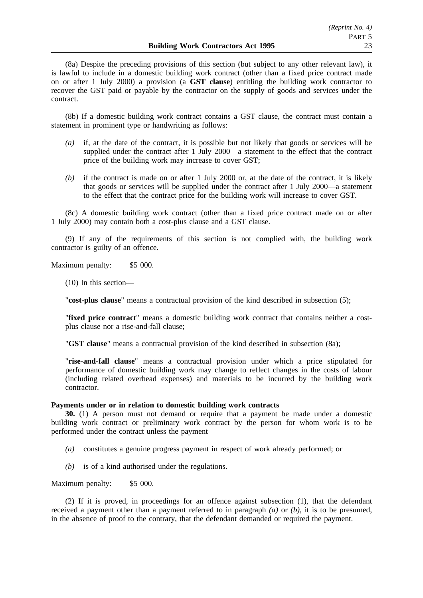(8a) Despite the preceding provisions of this section (but subject to any other relevant law), it is lawful to include in a domestic building work contract (other than a fixed price contract made on or after 1 July 2000) a provision (a **GST clause**) entitling the building work contractor to recover the GST paid or payable by the contractor on the supply of goods and services under the contract.

(8b) If a domestic building work contract contains a GST clause, the contract must contain a statement in prominent type or handwriting as follows:

- *(a)* if, at the date of the contract, it is possible but not likely that goods or services will be supplied under the contract after 1 July 2000—a statement to the effect that the contract price of the building work may increase to cover GST;
- *(b)* if the contract is made on or after 1 July 2000 or, at the date of the contract, it is likely that goods or services will be supplied under the contract after 1 July 2000—a statement to the effect that the contract price for the building work will increase to cover GST.

(8c) A domestic building work contract (other than a fixed price contract made on or after 1 July 2000) may contain both a cost-plus clause and a GST clause.

(9) If any of the requirements of this section is not complied with, the building work contractor is guilty of an offence.

Maximum penalty: \$5 000.

(10) In this section—

"**cost-plus clause**" means a contractual provision of the kind described in subsection (5);

"**fixed price contract**" means a domestic building work contract that contains neither a costplus clause nor a rise-and-fall clause;

"**GST clause**" means a contractual provision of the kind described in subsection (8a);

"**rise-and-fall clause**" means a contractual provision under which a price stipulated for performance of domestic building work may change to reflect changes in the costs of labour (including related overhead expenses) and materials to be incurred by the building work contractor.

#### **Payments under or in relation to domestic building work contracts**

**30.** (1) A person must not demand or require that a payment be made under a domestic building work contract or preliminary work contract by the person for whom work is to be performed under the contract unless the payment—

- *(a)* constitutes a genuine progress payment in respect of work already performed; or
- *(b)* is of a kind authorised under the regulations.

Maximum penalty: \$5 000.

(2) If it is proved, in proceedings for an offence against subsection (1), that the defendant received a payment other than a payment referred to in paragraph *(a)* or *(b)*, it is to be presumed, in the absence of proof to the contrary, that the defendant demanded or required the payment.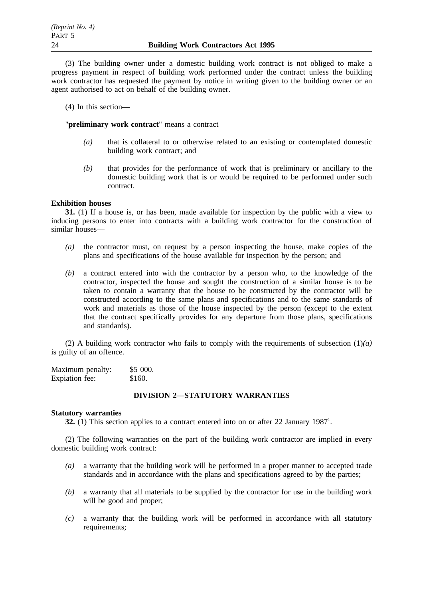(3) The building owner under a domestic building work contract is not obliged to make a progress payment in respect of building work performed under the contract unless the building work contractor has requested the payment by notice in writing given to the building owner or an agent authorised to act on behalf of the building owner.

(4) In this section—

"**preliminary work contract**" means a contract—

- *(a)* that is collateral to or otherwise related to an existing or contemplated domestic building work contract; and
- *(b)* that provides for the performance of work that is preliminary or ancillary to the domestic building work that is or would be required to be performed under such contract.

# **Exhibition houses**

**31.** (1) If a house is, or has been, made available for inspection by the public with a view to inducing persons to enter into contracts with a building work contractor for the construction of similar houses—

- *(a)* the contractor must, on request by a person inspecting the house, make copies of the plans and specifications of the house available for inspection by the person; and
- *(b)* a contract entered into with the contractor by a person who, to the knowledge of the contractor, inspected the house and sought the construction of a similar house is to be taken to contain a warranty that the house to be constructed by the contractor will be constructed according to the same plans and specifications and to the same standards of work and materials as those of the house inspected by the person (except to the extent that the contract specifically provides for any departure from those plans, specifications and standards).

(2) A building work contractor who fails to comply with the requirements of subsection (1)*(a)* is guilty of an offence.

| Maximum penalty: | \$5000. |
|------------------|---------|
| Expiation fee:   | \$160.  |

# **DIVISION 2—STATUTORY WARRANTIES**

## **Statutory warranties**

**32.** (1) This section applies to a contract entered into on or after 22 January 1987<sup>1</sup>.

(2) The following warranties on the part of the building work contractor are implied in every domestic building work contract:

- *(a)* a warranty that the building work will be performed in a proper manner to accepted trade standards and in accordance with the plans and specifications agreed to by the parties;
- *(b)* a warranty that all materials to be supplied by the contractor for use in the building work will be good and proper;
- *(c)* a warranty that the building work will be performed in accordance with all statutory requirements: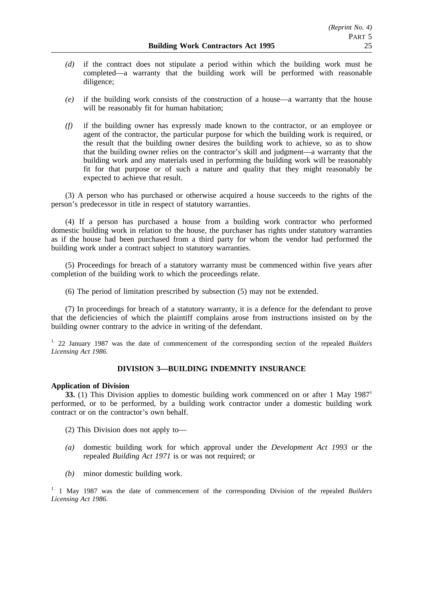- *(d)* if the contract does not stipulate a period within which the building work must be completed—a warranty that the building work will be performed with reasonable diligence;
- *(e)* if the building work consists of the construction of a house—a warranty that the house will be reasonably fit for human habitation;
- *(f)* if the building owner has expressly made known to the contractor, or an employee or agent of the contractor, the particular purpose for which the building work is required, or the result that the building owner desires the building work to achieve, so as to show that the building owner relies on the contractor's skill and judgment—a warranty that the building work and any materials used in performing the building work will be reasonably fit for that purpose or of such a nature and quality that they might reasonably be expected to achieve that result.

(3) A person who has purchased or otherwise acquired a house succeeds to the rights of the person's predecessor in title in respect of statutory warranties.

(4) If a person has purchased a house from a building work contractor who performed domestic building work in relation to the house, the purchaser has rights under statutory warranties as if the house had been purchased from a third party for whom the vendor had performed the building work under a contract subject to statutory warranties.

(5) Proceedings for breach of a statutory warranty must be commenced within five years after completion of the building work to which the proceedings relate.

(6) The period of limitation prescribed by subsection (5) may not be extended.

(7) In proceedings for breach of a statutory warranty, it is a defence for the defendant to prove that the deficiencies of which the plaintiff complains arose from instructions insisted on by the building owner contrary to the advice in writing of the defendant.

1. 22 January 1987 was the date of commencement of the corresponding section of the repealed *Builders Licensing Act 1986*.

## **DIVISION 3—BUILDING INDEMNITY INSURANCE**

## **Application of Division**

**33.** (1) This Division applies to domestic building work commenced on or after 1 May 1987<sup>1</sup> performed, or to be performed, by a building work contractor under a domestic building work contract or on the contractor's own behalf.

- (2) This Division does not apply to—
- *(a)* domestic building work for which approval under the *Development Act 1993* or the repealed *Building Act 1971* is or was not required; or
- *(b)* minor domestic building work.

1. 1 May 1987 was the date of commencement of the corresponding Division of the repealed *Builders Licensing Act 1986*.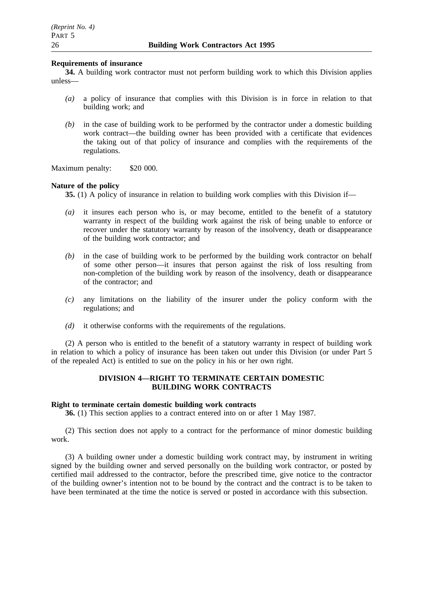## **Requirements of insurance**

**34.** A building work contractor must not perform building work to which this Division applies unless—

- *(a)* a policy of insurance that complies with this Division is in force in relation to that building work; and
- *(b)* in the case of building work to be performed by the contractor under a domestic building work contract—the building owner has been provided with a certificate that evidences the taking out of that policy of insurance and complies with the requirements of the regulations.

Maximum penalty: \$20 000.

## **Nature of the policy**

**35.** (1) A policy of insurance in relation to building work complies with this Division if—

- *(a)* it insures each person who is, or may become, entitled to the benefit of a statutory warranty in respect of the building work against the risk of being unable to enforce or recover under the statutory warranty by reason of the insolvency, death or disappearance of the building work contractor; and
- *(b)* in the case of building work to be performed by the building work contractor on behalf of some other person—it insures that person against the risk of loss resulting from non-completion of the building work by reason of the insolvency, death or disappearance of the contractor; and
- *(c)* any limitations on the liability of the insurer under the policy conform with the regulations; and
- *(d)* it otherwise conforms with the requirements of the regulations.

(2) A person who is entitled to the benefit of a statutory warranty in respect of building work in relation to which a policy of insurance has been taken out under this Division (or under Part 5 of the repealed Act) is entitled to sue on the policy in his or her own right.

# **DIVISION 4—RIGHT TO TERMINATE CERTAIN DOMESTIC BUILDING WORK CONTRACTS**

## **Right to terminate certain domestic building work contracts**

**36.** (1) This section applies to a contract entered into on or after 1 May 1987.

(2) This section does not apply to a contract for the performance of minor domestic building work.

(3) A building owner under a domestic building work contract may, by instrument in writing signed by the building owner and served personally on the building work contractor, or posted by certified mail addressed to the contractor, before the prescribed time, give notice to the contractor of the building owner's intention not to be bound by the contract and the contract is to be taken to have been terminated at the time the notice is served or posted in accordance with this subsection.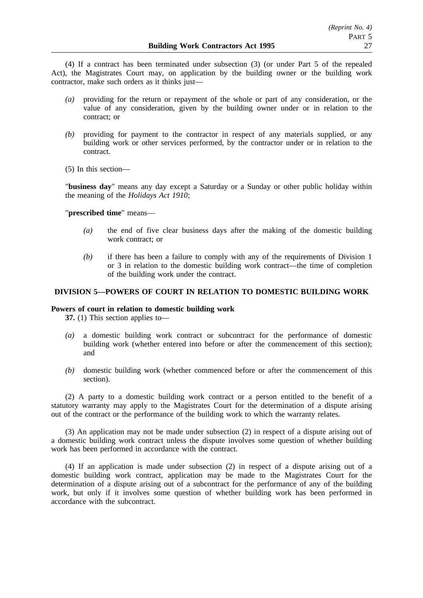(4) If a contract has been terminated under subsection (3) (or under Part 5 of the repealed Act), the Magistrates Court may, on application by the building owner or the building work contractor, make such orders as it thinks just—

- *(a)* providing for the return or repayment of the whole or part of any consideration, or the value of any consideration, given by the building owner under or in relation to the contract; or
- *(b)* providing for payment to the contractor in respect of any materials supplied, or any building work or other services performed, by the contractor under or in relation to the contract.
- (5) In this section—

"**business day**" means any day except a Saturday or a Sunday or other public holiday within the meaning of the *Holidays Act 1910*;

"**prescribed time**" means—

- *(a)* the end of five clear business days after the making of the domestic building work contract; or
- *(b)* if there has been a failure to comply with any of the requirements of Division 1 or 3 in relation to the domestic building work contract—the time of completion of the building work under the contract.

# **DIVISION 5—POWERS OF COURT IN RELATION TO DOMESTIC BUILDING WORK**

## **Powers of court in relation to domestic building work**

**37.** (1) This section applies to—

- *(a)* a domestic building work contract or subcontract for the performance of domestic building work (whether entered into before or after the commencement of this section); and
- *(b)* domestic building work (whether commenced before or after the commencement of this section).

(2) A party to a domestic building work contract or a person entitled to the benefit of a statutory warranty may apply to the Magistrates Court for the determination of a dispute arising out of the contract or the performance of the building work to which the warranty relates.

(3) An application may not be made under subsection (2) in respect of a dispute arising out of a domestic building work contract unless the dispute involves some question of whether building work has been performed in accordance with the contract.

(4) If an application is made under subsection (2) in respect of a dispute arising out of a domestic building work contract, application may be made to the Magistrates Court for the determination of a dispute arising out of a subcontract for the performance of any of the building work, but only if it involves some question of whether building work has been performed in accordance with the subcontract.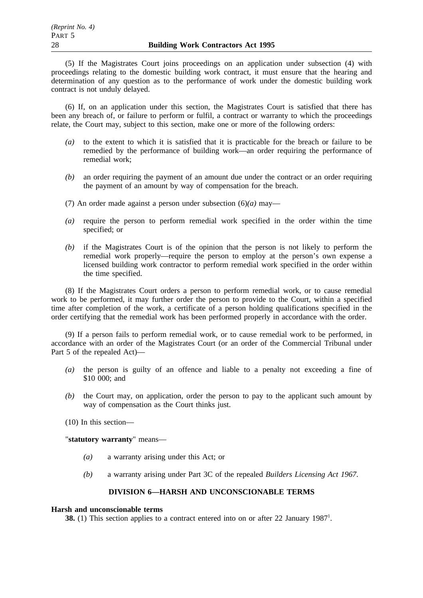(5) If the Magistrates Court joins proceedings on an application under subsection (4) with proceedings relating to the domestic building work contract, it must ensure that the hearing and determination of any question as to the performance of work under the domestic building work contract is not unduly delayed.

(6) If, on an application under this section, the Magistrates Court is satisfied that there has been any breach of, or failure to perform or fulfil, a contract or warranty to which the proceedings relate, the Court may, subject to this section, make one or more of the following orders:

- *(a)* to the extent to which it is satisfied that it is practicable for the breach or failure to be remedied by the performance of building work—an order requiring the performance of remedial work;
- *(b)* an order requiring the payment of an amount due under the contract or an order requiring the payment of an amount by way of compensation for the breach.
- (7) An order made against a person under subsection (6)*(a)* may—
- *(a)* require the person to perform remedial work specified in the order within the time specified; or
- *(b)* if the Magistrates Court is of the opinion that the person is not likely to perform the remedial work properly—require the person to employ at the person's own expense a licensed building work contractor to perform remedial work specified in the order within the time specified.

(8) If the Magistrates Court orders a person to perform remedial work, or to cause remedial work to be performed, it may further order the person to provide to the Court, within a specified time after completion of the work, a certificate of a person holding qualifications specified in the order certifying that the remedial work has been performed properly in accordance with the order.

(9) If a person fails to perform remedial work, or to cause remedial work to be performed, in accordance with an order of the Magistrates Court (or an order of the Commercial Tribunal under Part 5 of the repealed Act)—

- *(a)* the person is guilty of an offence and liable to a penalty not exceeding a fine of \$10 000; and
- *(b)* the Court may, on application, order the person to pay to the applicant such amount by way of compensation as the Court thinks just.
- (10) In this section—

"**statutory warranty**" means—

- *(a)* a warranty arising under this Act; or
- *(b)* a warranty arising under Part 3C of the repealed *Builders Licensing Act 1967*.

## **DIVISION 6—HARSH AND UNCONSCIONABLE TERMS**

## **Harsh and unconscionable terms**

**38.** (1) This section applies to a contract entered into on or after 22 January 1987<sup>1</sup>.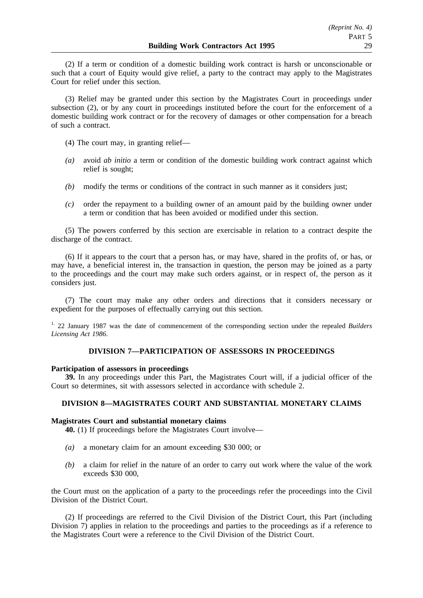(2) If a term or condition of a domestic building work contract is harsh or unconscionable or such that a court of Equity would give relief, a party to the contract may apply to the Magistrates Court for relief under this section.

(3) Relief may be granted under this section by the Magistrates Court in proceedings under subsection (2), or by any court in proceedings instituted before the court for the enforcement of a domestic building work contract or for the recovery of damages or other compensation for a breach of such a contract.

- (4) The court may, in granting relief—
- *(a)* avoid *ab initio* a term or condition of the domestic building work contract against which relief is sought;
- *(b)* modify the terms or conditions of the contract in such manner as it considers just;
- *(c)* order the repayment to a building owner of an amount paid by the building owner under a term or condition that has been avoided or modified under this section.

(5) The powers conferred by this section are exercisable in relation to a contract despite the discharge of the contract.

(6) If it appears to the court that a person has, or may have, shared in the profits of, or has, or may have, a beneficial interest in, the transaction in question, the person may be joined as a party to the proceedings and the court may make such orders against, or in respect of, the person as it considers just.

(7) The court may make any other orders and directions that it considers necessary or expedient for the purposes of effectually carrying out this section.

1. 22 January 1987 was the date of commencement of the corresponding section under the repealed *Builders Licensing Act 1986*.

# **DIVISION 7—PARTICIPATION OF ASSESSORS IN PROCEEDINGS**

## **Participation of assessors in proceedings**

**39.** In any proceedings under this Part, the Magistrates Court will, if a judicial officer of the Court so determines, sit with assessors selected in accordance with schedule 2.

# **DIVISION 8—MAGISTRATES COURT AND SUBSTANTIAL MONETARY CLAIMS**

## **Magistrates Court and substantial monetary claims**

**40.** (1) If proceedings before the Magistrates Court involve—

- *(a)* a monetary claim for an amount exceeding \$30 000; or
- *(b)* a claim for relief in the nature of an order to carry out work where the value of the work exceeds \$30 000,

the Court must on the application of a party to the proceedings refer the proceedings into the Civil Division of the District Court.

(2) If proceedings are referred to the Civil Division of the District Court, this Part (including Division 7) applies in relation to the proceedings and parties to the proceedings as if a reference to the Magistrates Court were a reference to the Civil Division of the District Court.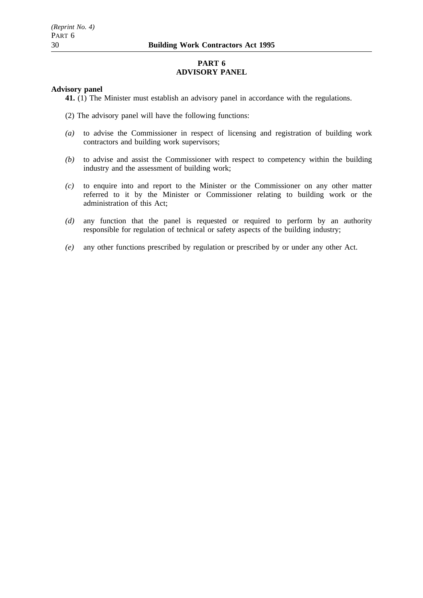# **PART 6 ADVISORY PANEL**

## **Advisory panel**

**41.** (1) The Minister must establish an advisory panel in accordance with the regulations.

- (2) The advisory panel will have the following functions:
- *(a)* to advise the Commissioner in respect of licensing and registration of building work contractors and building work supervisors;
- *(b)* to advise and assist the Commissioner with respect to competency within the building industry and the assessment of building work;
- *(c)* to enquire into and report to the Minister or the Commissioner on any other matter referred to it by the Minister or Commissioner relating to building work or the administration of this Act;
- *(d)* any function that the panel is requested or required to perform by an authority responsible for regulation of technical or safety aspects of the building industry;
- *(e)* any other functions prescribed by regulation or prescribed by or under any other Act.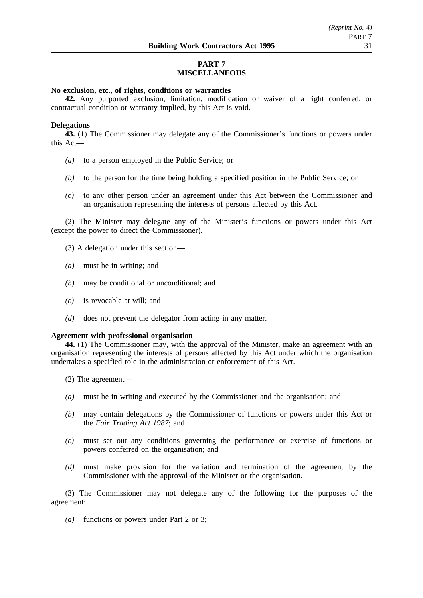# **PART 7 MISCELLANEOUS**

# **No exclusion, etc., of rights, conditions or warranties**

**42.** Any purported exclusion, limitation, modification or waiver of a right conferred, or contractual condition or warranty implied, by this Act is void.

## **Delegations**

**43.** (1) The Commissioner may delegate any of the Commissioner's functions or powers under this Act—

- *(a)* to a person employed in the Public Service; or
- *(b)* to the person for the time being holding a specified position in the Public Service; or
- *(c)* to any other person under an agreement under this Act between the Commissioner and an organisation representing the interests of persons affected by this Act.

(2) The Minister may delegate any of the Minister's functions or powers under this Act (except the power to direct the Commissioner).

- (3) A delegation under this section—
- *(a)* must be in writing; and
- *(b)* may be conditional or unconditional; and
- *(c)* is revocable at will; and
- *(d)* does not prevent the delegator from acting in any matter.

#### **Agreement with professional organisation**

**44.** (1) The Commissioner may, with the approval of the Minister, make an agreement with an organisation representing the interests of persons affected by this Act under which the organisation undertakes a specified role in the administration or enforcement of this Act.

- (2) The agreement—
- *(a)* must be in writing and executed by the Commissioner and the organisation; and
- *(b)* may contain delegations by the Commissioner of functions or powers under this Act or the *Fair Trading Act 1987*; and
- *(c)* must set out any conditions governing the performance or exercise of functions or powers conferred on the organisation; and
- *(d)* must make provision for the variation and termination of the agreement by the Commissioner with the approval of the Minister or the organisation.

(3) The Commissioner may not delegate any of the following for the purposes of the agreement:

*(a)* functions or powers under Part 2 or 3;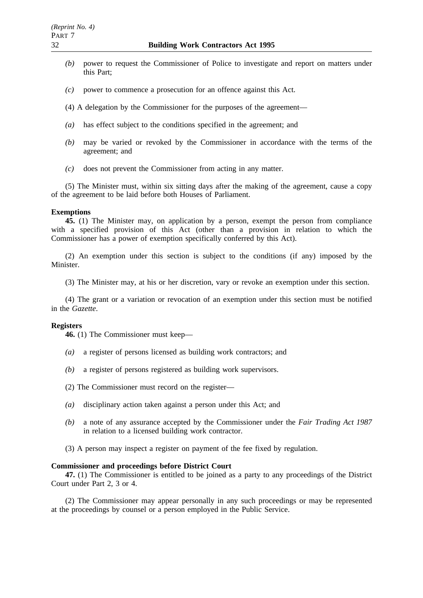- *(b)* power to request the Commissioner of Police to investigate and report on matters under this Part;
- *(c)* power to commence a prosecution for an offence against this Act.
- (4) A delegation by the Commissioner for the purposes of the agreement—
- *(a)* has effect subject to the conditions specified in the agreement; and
- *(b)* may be varied or revoked by the Commissioner in accordance with the terms of the agreement; and
- *(c)* does not prevent the Commissioner from acting in any matter.

(5) The Minister must, within six sitting days after the making of the agreement, cause a copy of the agreement to be laid before both Houses of Parliament.

#### **Exemptions**

**45.** (1) The Minister may, on application by a person, exempt the person from compliance with a specified provision of this Act (other than a provision in relation to which the Commissioner has a power of exemption specifically conferred by this Act).

(2) An exemption under this section is subject to the conditions (if any) imposed by the Minister.

(3) The Minister may, at his or her discretion, vary or revoke an exemption under this section.

(4) The grant or a variation or revocation of an exemption under this section must be notified in the *Gazette*.

## **Registers**

**46.** (1) The Commissioner must keep—

- *(a)* a register of persons licensed as building work contractors; and
- *(b)* a register of persons registered as building work supervisors.
- (2) The Commissioner must record on the register—
- *(a)* disciplinary action taken against a person under this Act; and
- *(b)* a note of any assurance accepted by the Commissioner under the *Fair Trading Act 1987* in relation to a licensed building work contractor.
- (3) A person may inspect a register on payment of the fee fixed by regulation.

#### **Commissioner and proceedings before District Court**

**47.** (1) The Commissioner is entitled to be joined as a party to any proceedings of the District Court under Part 2, 3 or 4.

(2) The Commissioner may appear personally in any such proceedings or may be represented at the proceedings by counsel or a person employed in the Public Service.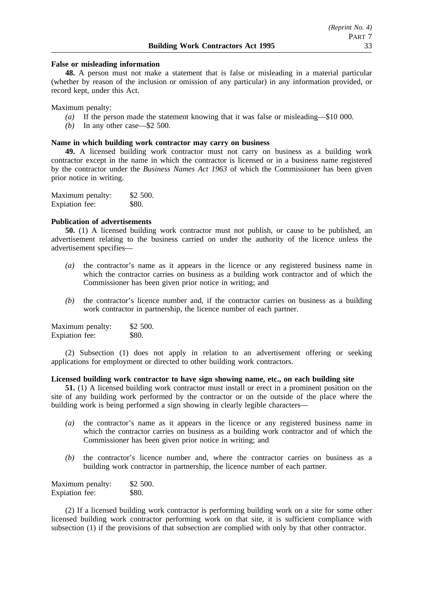## **False or misleading information**

**48.** A person must not make a statement that is false or misleading in a material particular (whether by reason of the inclusion or omission of any particular) in any information provided, or record kept, under this Act.

Maximum penalty:

- *(a)* If the person made the statement knowing that it was false or misleading—\$10 000.
- *(b)* In any other case—\$2 500.

## **Name in which building work contractor may carry on business**

**49.** A licensed building work contractor must not carry on business as a building work contractor except in the name in which the contractor is licensed or in a business name registered by the contractor under the *Business Names Act 1963* of which the Commissioner has been given prior notice in writing.

| Maximum penalty: | \$2,500. |
|------------------|----------|
| Expiation fee:   | \$80.    |

# **Publication of advertisements**

**50.** (1) A licensed building work contractor must not publish, or cause to be published, an advertisement relating to the business carried on under the authority of the licence unless the advertisement specifies—

- *(a)* the contractor's name as it appears in the licence or any registered business name in which the contractor carries on business as a building work contractor and of which the Commissioner has been given prior notice in writing; and
- *(b)* the contractor's licence number and, if the contractor carries on business as a building work contractor in partnership, the licence number of each partner.

| Maximum penalty: | \$2 500. |
|------------------|----------|
| Expiation fee:   | \$80.    |

(2) Subsection (1) does not apply in relation to an advertisement offering or seeking applications for employment or directed to other building work contractors.

## **Licensed building work contractor to have sign showing name, etc., on each building site**

**51.** (1) A licensed building work contractor must install or erect in a prominent position on the site of any building work performed by the contractor or on the outside of the place where the building work is being performed a sign showing in clearly legible characters—

- *(a)* the contractor's name as it appears in the licence or any registered business name in which the contractor carries on business as a building work contractor and of which the Commissioner has been given prior notice in writing; and
- *(b)* the contractor's licence number and, where the contractor carries on business as a building work contractor in partnership, the licence number of each partner.

| Maximum penalty: | \$2 500.     |
|------------------|--------------|
| Expiation fee:   | <b>\$80.</b> |

(2) If a licensed building work contractor is performing building work on a site for some other licensed building work contractor performing work on that site, it is sufficient compliance with subsection (1) if the provisions of that subsection are complied with only by that other contractor.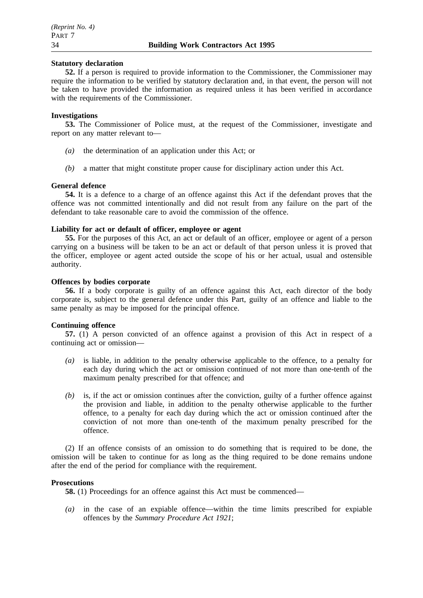## **Statutory declaration**

**52.** If a person is required to provide information to the Commissioner, the Commissioner may require the information to be verified by statutory declaration and, in that event, the person will not be taken to have provided the information as required unless it has been verified in accordance with the requirements of the Commissioner.

## **Investigations**

**53.** The Commissioner of Police must, at the request of the Commissioner, investigate and report on any matter relevant to—

- *(a)* the determination of an application under this Act; or
- *(b)* a matter that might constitute proper cause for disciplinary action under this Act.

## **General defence**

**54.** It is a defence to a charge of an offence against this Act if the defendant proves that the offence was not committed intentionally and did not result from any failure on the part of the defendant to take reasonable care to avoid the commission of the offence.

# **Liability for act or default of officer, employee or agent**

**55.** For the purposes of this Act, an act or default of an officer, employee or agent of a person carrying on a business will be taken to be an act or default of that person unless it is proved that the officer, employee or agent acted outside the scope of his or her actual, usual and ostensible authority.

## **Offences by bodies corporate**

**56.** If a body corporate is guilty of an offence against this Act, each director of the body corporate is, subject to the general defence under this Part, guilty of an offence and liable to the same penalty as may be imposed for the principal offence.

## **Continuing offence**

**57.** (1) A person convicted of an offence against a provision of this Act in respect of a continuing act or omission—

- *(a)* is liable, in addition to the penalty otherwise applicable to the offence, to a penalty for each day during which the act or omission continued of not more than one-tenth of the maximum penalty prescribed for that offence; and
- *(b)* is, if the act or omission continues after the conviction, guilty of a further offence against the provision and liable, in addition to the penalty otherwise applicable to the further offence, to a penalty for each day during which the act or omission continued after the conviction of not more than one-tenth of the maximum penalty prescribed for the offence.

(2) If an offence consists of an omission to do something that is required to be done, the omission will be taken to continue for as long as the thing required to be done remains undone after the end of the period for compliance with the requirement.

## **Prosecutions**

**58.** (1) Proceedings for an offence against this Act must be commenced—

*(a)* in the case of an expiable offence—within the time limits prescribed for expiable offences by the *Summary Procedure Act 1921*;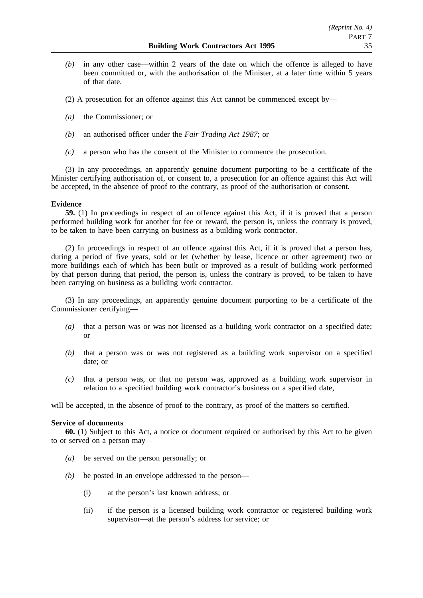*(b)* in any other case—within 2 years of the date on which the offence is alleged to have been committed or, with the authorisation of the Minister, at a later time within 5 years of that date.

(2) A prosecution for an offence against this Act cannot be commenced except by—

- *(a)* the Commissioner; or
- *(b)* an authorised officer under the *Fair Trading Act 1987*; or
- *(c)* a person who has the consent of the Minister to commence the prosecution.

(3) In any proceedings, an apparently genuine document purporting to be a certificate of the Minister certifying authorisation of, or consent to, a prosecution for an offence against this Act will be accepted, in the absence of proof to the contrary, as proof of the authorisation or consent.

## **Evidence**

**59.** (1) In proceedings in respect of an offence against this Act, if it is proved that a person performed building work for another for fee or reward, the person is, unless the contrary is proved, to be taken to have been carrying on business as a building work contractor.

(2) In proceedings in respect of an offence against this Act, if it is proved that a person has, during a period of five years, sold or let (whether by lease, licence or other agreement) two or more buildings each of which has been built or improved as a result of building work performed by that person during that period, the person is, unless the contrary is proved, to be taken to have been carrying on business as a building work contractor.

(3) In any proceedings, an apparently genuine document purporting to be a certificate of the Commissioner certifying—

- *(a)* that a person was or was not licensed as a building work contractor on a specified date; or
- *(b)* that a person was or was not registered as a building work supervisor on a specified date; or
- *(c)* that a person was, or that no person was, approved as a building work supervisor in relation to a specified building work contractor's business on a specified date,

will be accepted, in the absence of proof to the contrary, as proof of the matters so certified.

## **Service of documents**

**60.** (1) Subject to this Act, a notice or document required or authorised by this Act to be given to or served on a person may—

- *(a)* be served on the person personally; or
- *(b)* be posted in an envelope addressed to the person—
	- (i) at the person's last known address; or
	- (ii) if the person is a licensed building work contractor or registered building work supervisor—at the person's address for service; or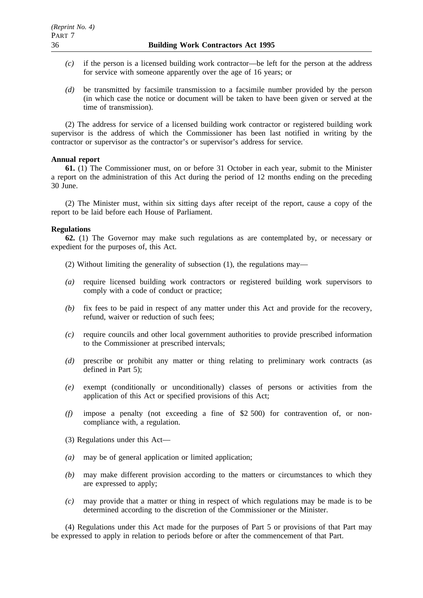- *(c)* if the person is a licensed building work contractor—be left for the person at the address for service with someone apparently over the age of 16 years; or
- *(d)* be transmitted by facsimile transmission to a facsimile number provided by the person (in which case the notice or document will be taken to have been given or served at the time of transmission).

(2) The address for service of a licensed building work contractor or registered building work supervisor is the address of which the Commissioner has been last notified in writing by the contractor or supervisor as the contractor's or supervisor's address for service.

## **Annual report**

**61.** (1) The Commissioner must, on or before 31 October in each year, submit to the Minister a report on the administration of this Act during the period of 12 months ending on the preceding 30 June.

(2) The Minister must, within six sitting days after receipt of the report, cause a copy of the report to be laid before each House of Parliament.

## **Regulations**

**62.** (1) The Governor may make such regulations as are contemplated by, or necessary or expedient for the purposes of, this Act.

- (2) Without limiting the generality of subsection (1), the regulations may—
- *(a)* require licensed building work contractors or registered building work supervisors to comply with a code of conduct or practice;
- *(b)* fix fees to be paid in respect of any matter under this Act and provide for the recovery, refund, waiver or reduction of such fees;
- *(c)* require councils and other local government authorities to provide prescribed information to the Commissioner at prescribed intervals;
- *(d)* prescribe or prohibit any matter or thing relating to preliminary work contracts (as defined in Part 5);
- *(e)* exempt (conditionally or unconditionally) classes of persons or activities from the application of this Act or specified provisions of this Act;
- *(f)* impose a penalty (not exceeding a fine of \$2 500) for contravention of, or noncompliance with, a regulation.
- (3) Regulations under this Act—
- *(a)* may be of general application or limited application;
- *(b)* may make different provision according to the matters or circumstances to which they are expressed to apply;
- *(c)* may provide that a matter or thing in respect of which regulations may be made is to be determined according to the discretion of the Commissioner or the Minister.

(4) Regulations under this Act made for the purposes of Part 5 or provisions of that Part may be expressed to apply in relation to periods before or after the commencement of that Part.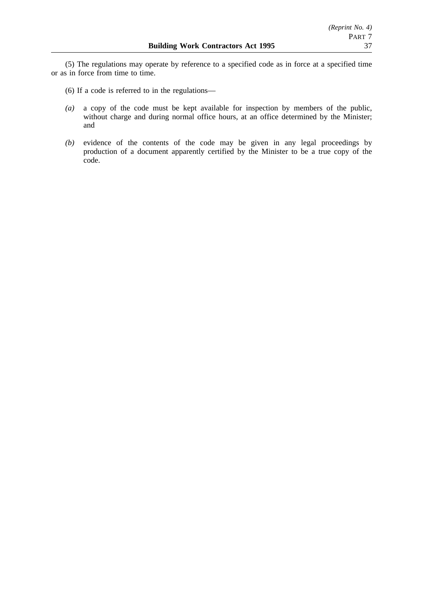(5) The regulations may operate by reference to a specified code as in force at a specified time or as in force from time to time.

- (6) If a code is referred to in the regulations—
- *(a)* a copy of the code must be kept available for inspection by members of the public, without charge and during normal office hours, at an office determined by the Minister; and
- *(b)* evidence of the contents of the code may be given in any legal proceedings by production of a document apparently certified by the Minister to be a true copy of the code.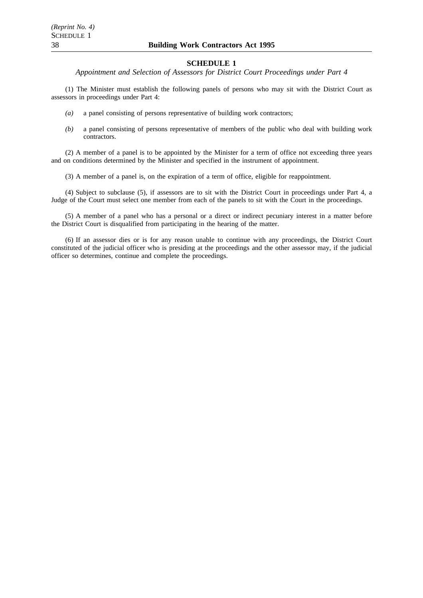*Appointment and Selection of Assessors for District Court Proceedings under Part 4*

(1) The Minister must establish the following panels of persons who may sit with the District Court as assessors in proceedings under Part 4:

- *(a)* a panel consisting of persons representative of building work contractors;
- *(b)* a panel consisting of persons representative of members of the public who deal with building work contractors.

(2) A member of a panel is to be appointed by the Minister for a term of office not exceeding three years and on conditions determined by the Minister and specified in the instrument of appointment.

(3) A member of a panel is, on the expiration of a term of office, eligible for reappointment.

(4) Subject to subclause (5), if assessors are to sit with the District Court in proceedings under Part 4, a Judge of the Court must select one member from each of the panels to sit with the Court in the proceedings.

(5) A member of a panel who has a personal or a direct or indirect pecuniary interest in a matter before the District Court is disqualified from participating in the hearing of the matter.

(6) If an assessor dies or is for any reason unable to continue with any proceedings, the District Court constituted of the judicial officer who is presiding at the proceedings and the other assessor may, if the judicial officer so determines, continue and complete the proceedings.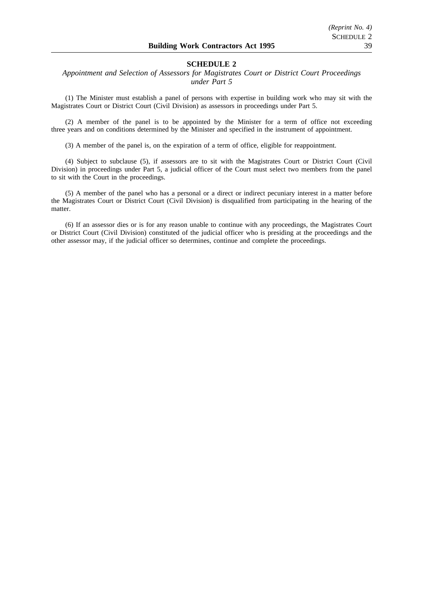## *Appointment and Selection of Assessors for Magistrates Court or District Court Proceedings under Part 5*

(1) The Minister must establish a panel of persons with expertise in building work who may sit with the Magistrates Court or District Court (Civil Division) as assessors in proceedings under Part 5.

(2) A member of the panel is to be appointed by the Minister for a term of office not exceeding three years and on conditions determined by the Minister and specified in the instrument of appointment.

(3) A member of the panel is, on the expiration of a term of office, eligible for reappointment.

(4) Subject to subclause (5), if assessors are to sit with the Magistrates Court or District Court (Civil Division) in proceedings under Part 5, a judicial officer of the Court must select two members from the panel to sit with the Court in the proceedings.

(5) A member of the panel who has a personal or a direct or indirect pecuniary interest in a matter before the Magistrates Court or District Court (Civil Division) is disqualified from participating in the hearing of the matter.

(6) If an assessor dies or is for any reason unable to continue with any proceedings, the Magistrates Court or District Court (Civil Division) constituted of the judicial officer who is presiding at the proceedings and the other assessor may, if the judicial officer so determines, continue and complete the proceedings.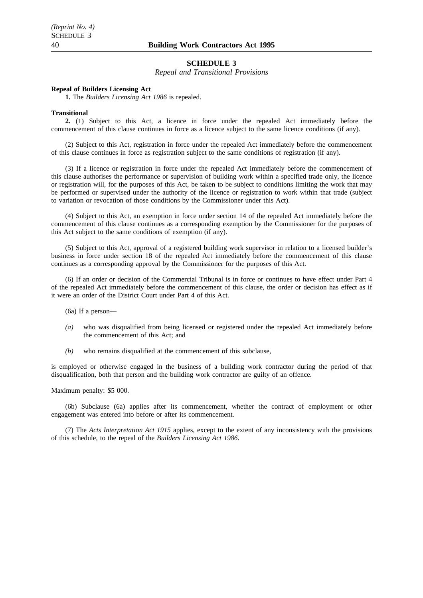*Repeal and Transitional Provisions*

#### **Repeal of Builders Licensing Act**

**1.** The *Builders Licensing Act 1986* is repealed.

#### **Transitional**

**2.** (1) Subject to this Act, a licence in force under the repealed Act immediately before the commencement of this clause continues in force as a licence subject to the same licence conditions (if any).

(2) Subject to this Act, registration in force under the repealed Act immediately before the commencement of this clause continues in force as registration subject to the same conditions of registration (if any).

(3) If a licence or registration in force under the repealed Act immediately before the commencement of this clause authorises the performance or supervision of building work within a specified trade only, the licence or registration will, for the purposes of this Act, be taken to be subject to conditions limiting the work that may be performed or supervised under the authority of the licence or registration to work within that trade (subject to variation or revocation of those conditions by the Commissioner under this Act).

(4) Subject to this Act, an exemption in force under section 14 of the repealed Act immediately before the commencement of this clause continues as a corresponding exemption by the Commissioner for the purposes of this Act subject to the same conditions of exemption (if any).

(5) Subject to this Act, approval of a registered building work supervisor in relation to a licensed builder's business in force under section 18 of the repealed Act immediately before the commencement of this clause continues as a corresponding approval by the Commissioner for the purposes of this Act.

(6) If an order or decision of the Commercial Tribunal is in force or continues to have effect under Part 4 of the repealed Act immediately before the commencement of this clause, the order or decision has effect as if it were an order of the District Court under Part 4 of this Act.

(6a) If a person—

- *(a)* who was disqualified from being licensed or registered under the repealed Act immediately before the commencement of this Act; and
- *(b)* who remains disqualified at the commencement of this subclause,

is employed or otherwise engaged in the business of a building work contractor during the period of that disqualification, both that person and the building work contractor are guilty of an offence.

Maximum penalty: \$5 000.

(6b) Subclause (6a) applies after its commencement, whether the contract of employment or other engagement was entered into before or after its commencement.

(7) The *Acts Interpretation Act 1915* applies, except to the extent of any inconsistency with the provisions of this schedule, to the repeal of the *Builders Licensing Act 1986*.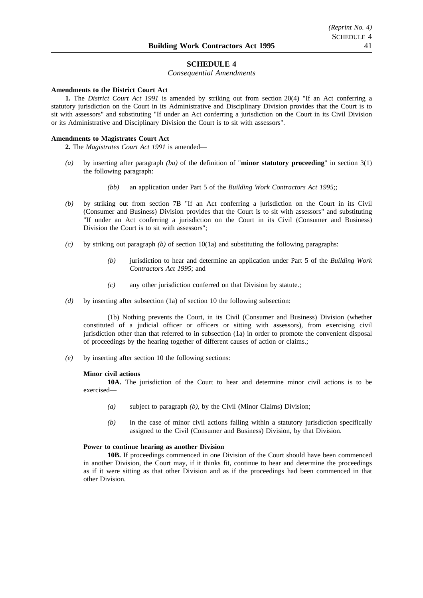#### *Consequential Amendments*

#### **Amendments to the District Court Act**

**1.** The *District Court Act 1991* is amended by striking out from section 20(4) "If an Act conferring a statutory jurisdiction on the Court in its Administrative and Disciplinary Division provides that the Court is to sit with assessors" and substituting "If under an Act conferring a jurisdiction on the Court in its Civil Division or its Administrative and Disciplinary Division the Court is to sit with assessors".

#### **Amendments to Magistrates Court Act**

**2.** The *Magistrates Court Act 1991* is amended—

- *(a)* by inserting after paragraph *(ba)* of the definition of "**minor statutory proceeding**" in section 3(1) the following paragraph:
	- *(bb)* an application under Part 5 of the *Building Work Contractors Act 1995*;;
- *(b)* by striking out from section 7B "If an Act conferring a jurisdiction on the Court in its Civil (Consumer and Business) Division provides that the Court is to sit with assessors" and substituting "If under an Act conferring a jurisdiction on the Court in its Civil (Consumer and Business) Division the Court is to sit with assessors";
- *(c)* by striking out paragraph *(b)* of section 10(1a) and substituting the following paragraphs:
	- *(b)* jurisdiction to hear and determine an application under Part 5 of the *Building Work Contractors Act 1995*; and
	- *(c)* any other jurisdiction conferred on that Division by statute.;
- *(d)* by inserting after subsection (1a) of section 10 the following subsection:

(1b) Nothing prevents the Court, in its Civil (Consumer and Business) Division (whether constituted of a judicial officer or officers or sitting with assessors), from exercising civil jurisdiction other than that referred to in subsection (1a) in order to promote the convenient disposal of proceedings by the hearing together of different causes of action or claims.;

*(e)* by inserting after section 10 the following sections:

#### **Minor civil actions**

**10A.** The jurisdiction of the Court to hear and determine minor civil actions is to be exercised—

- *(a)* subject to paragraph *(b)*, by the Civil (Minor Claims) Division;
- *(b)* in the case of minor civil actions falling within a statutory jurisdiction specifically assigned to the Civil (Consumer and Business) Division, by that Division.

## **Power to continue hearing as another Division**

**10B.** If proceedings commenced in one Division of the Court should have been commenced in another Division, the Court may, if it thinks fit, continue to hear and determine the proceedings as if it were sitting as that other Division and as if the proceedings had been commenced in that other Division.